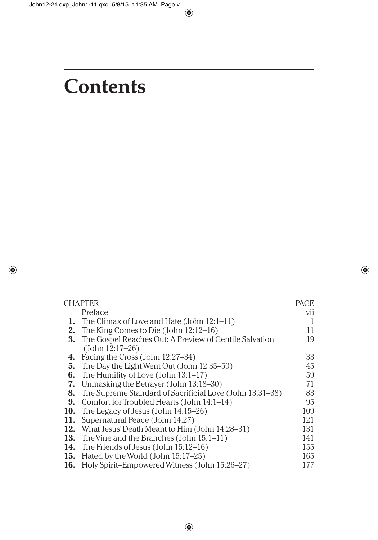# **Contents**

| <b>CHAPTER</b> |                                                                  | <b>PAGE</b> |
|----------------|------------------------------------------------------------------|-------------|
|                | Preface                                                          | vii         |
| 1.             | The Climax of Love and Hate (John $12:1-11$ )                    | -1          |
| 2.             | The King Comes to Die (John $12:12-16$ )                         | 11          |
|                | <b>3.</b> The Gospel Reaches Out: A Preview of Gentile Salvation | 19          |
|                | $(John 12:17-26)$                                                |             |
| 4.             | Facing the Cross (John 12:27–34)                                 | 33          |
|                | 5. The Day the Light Went Out (John $12:35-50$ )                 | 45          |
|                | <b>6.</b> The Humility of Love (John $13:1-17$ )                 | 59          |
| 7.             | Unmasking the Betrayer (John 13:18–30)                           | 71          |
| 8.             | The Supreme Standard of Sacrificial Love (John 13:31–38)         | 83          |
| 9.             | Comfort for Troubled Hearts (John 14:1–14)                       | 95          |
|                | 10. The Legacy of Jesus (John $14:15-26$ )                       | 109         |
| 11.            | Supernatural Peace (John 14:27)                                  | 121         |
|                | 12. What Jesus' Death Meant to Him (John 14:28–31)               | 131         |
|                | 13. The Vine and the Branches (John 15:1-11)                     | 141         |
|                | <b>14.</b> The Friends of Jesus (John 15:12-16)                  | 155         |
|                | 15. Hated by the World (John $15:17-25$ )                        | 165         |
|                | <b>16.</b> Holy Spirit–Empowered Witness (John 15:26–27)         | 177         |
|                |                                                                  |             |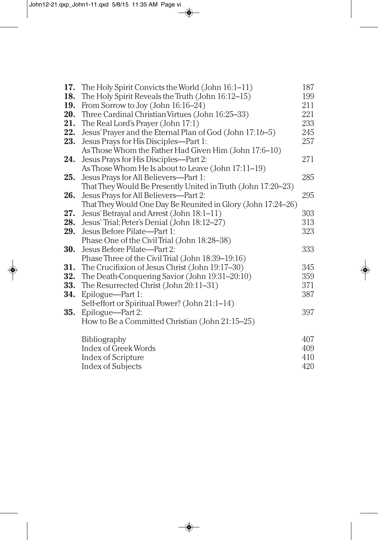| 17. | The Holy Spirit Convicts the World (John 16:1-11)            | 187 |
|-----|--------------------------------------------------------------|-----|
| 18. | The Holy Spirit Reveals the Truth (John 16:12-15)            | 199 |
| 19. | From Sorrow to Joy (John 16:16–24)                           | 211 |
| 20. | Three Cardinal Christian Virtues (John 16:25–33)             | 221 |
| 21. | The Real Lord's Prayer (John 17:1)                           | 233 |
| 22. | Jesus' Prayer and the Eternal Plan of God (John 17:1b-5)     | 245 |
| 23. | Jesus Prays for His Disciples-Part 1:                        | 257 |
|     | As Those Whom the Father Had Given Him (John 17:6-10)        |     |
| 24. | Jesus Prays for His Disciples-Part 2:                        | 271 |
|     | As Those Whom He Is about to Leave (John 17:11-19)           |     |
| 25. | Jesus Prays for All Believers-Part 1:                        | 285 |
|     | That They Would Be Presently United in Truth (John 17:20-23) |     |
| 26. | Jesus Prays for All Believers-Part 2:                        | 295 |
|     | That They Would One Day Be Reunited in Glory (John 17:24-26) |     |
| 27. | Jesus' Betrayal and Arrest (John 18:1-11)                    | 303 |
| 28. | Jesus' Trial; Peter's Denial (John 18:12-27)                 | 313 |
| 29. | Jesus Before Pilate-Part 1:                                  | 323 |
|     | Phase One of the Civil Trial (John 18:28-38)                 |     |
| 30. | Jesus Before Pilate-Part 2:                                  | 333 |
|     | Phase Three of the Civil Trial (John 18:39-19:16)            |     |
|     | <b>31.</b> The Crucifixion of Jesus Christ (John 19:17–30)   | 345 |
| 32. | The Death-Conquering Savior (John 19:31-20:10)               | 359 |
| 33. | The Resurrected Christ (John 20:11-31)                       | 371 |
| 34. | Epilogue-Part 1:                                             | 387 |
|     | Self-effort or Spiritual Power? (John 21:1–14)               |     |
| 35. | Epilogue-Part 2:                                             | 397 |
|     | How to Be a Committed Christian (John 21:15-25)              |     |
|     | <b>Bibliography</b>                                          | 407 |
|     | <b>Index of Greek Words</b>                                  | 409 |
|     | Index of Scripture                                           | 410 |
|     | <b>Index of Subjects</b>                                     | 420 |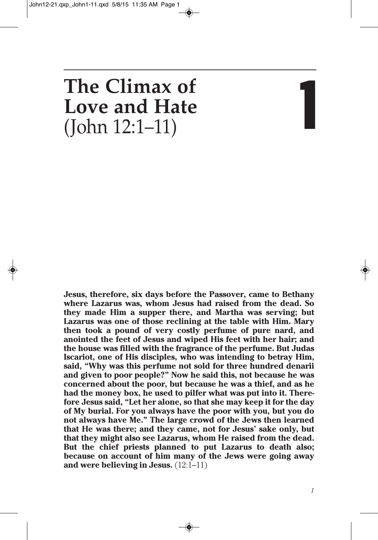# **The Climax of Love and Hate** (John 12:1–11) **1**

**Jesus, therefore, six days before the Passover, came to Bethany where Lazarus was, whom Jesus had raised from the dead. So they made Him a supper there, and Martha was serving; but Lazarus was one of those reclining at the table with Him. Mary then took a pound of very costly perfume of pure nard, and anointed the feet of Jesus and wiped His feet with her hair; and the house was filled with the fragrance of the perfume. But Judas Iscariot, one of His disciples, who was intending to betray Him, said, "Why was this perfume not sold for three hundred denarii and given to poor people?" Now he said this, not because he was concerned about the poor, but because he was a thief, and as he had the money box, he used to pilfer what was put into it. Therefore Jesus said, "Let her alone, so that she may keep it for the day of My burial. For you always have the poor with you, but you do not always have Me." The large crowd of the Jews then learned that He was there; and they came, not for Jesus' sake only, but that they might also see Lazarus, whom He raised from the dead. But the chief priests planned to put Lazarus to death also; because on account of him many of the Jews were going away and were believing in Jesus.** (12:1–11)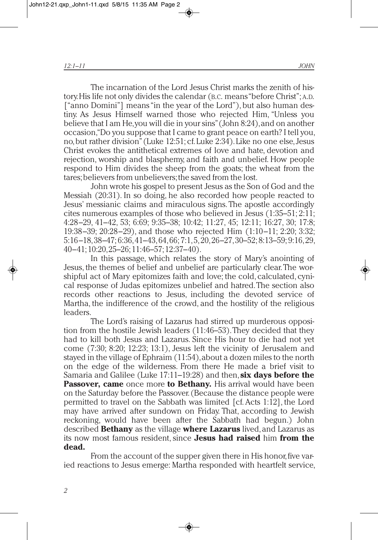The incarnation of the Lord Jesus Christ marks the zenith of history.His life not only divides the calendar (B.C. means"before Christ";A.D. ["anno Domini"] means "in the year of the Lord"), but also human destiny. As Jesus Himself warned those who rejected Him, "Unless you believe that I am He,you will die in your sins"(John 8:24),and on another occasion,"Do you suppose that I came to grant peace on earth? I tell you, no,but rather division"(Luke 12:51; cf.Luke 2:34).Like no one else,Jesus Christ evokes the antithetical extremes of love and hate, devotion and rejection, worship and blasphemy, and faith and unbelief. How people respond to Him divides the sheep from the goats; the wheat from the tares;believers from unbelievers;the saved from the lost.

John wrote his gospel to present Jesus as the Son of God and the Messiah (20:31). In so doing, he also recorded how people reacted to Jesus' messianic claims and miraculous signs. The apostle accordingly cites numerous examples of those who believed in Jesus (1:35–51; 2:11; 4:28–29, 41–42, 53; 6:69; 9:35–38; 10:42; 11:27, 45; 12:11; 16:27, 30; 17:8; 19:38–39; 20:28–29), and those who rejected Him (1:10–11; 2:20; 3:32; 5:16–18,38–47; 6:36,41–43,64,66; 7:1,5,20,26–27,30–52; 8:13–59; 9:16,29, 40–41;10:20,25–26;11:46–57;12:37–40).

In this passage, which relates the story of Mary's anointing of Jesus, the themes of belief and unbelief are particularly clear.The worshipful act of Mary epitomizes faith and love; the cold, calculated, cynical response of Judas epitomizes unbelief and hatred.The section also records other reactions to Jesus, including the devoted service of Martha, the indifference of the crowd, and the hostility of the religious leaders.

The Lord's raising of Lazarus had stirred up murderous opposition from the hostile Jewish leaders (11:46–53).They decided that they had to kill both Jesus and Lazarus. Since His hour to die had not yet come (7:30; 8:20; 12:23; 13:1), Jesus left the vicinity of Jerusalem and stayed in the village of Ephraim (11:54),about a dozen miles to the north on the edge of the wilderness. From there He made a brief visit to Samaria and Galilee (Luke 17:11–19:28) and then, **six days before the Passover, came** once more **to Bethany.** His arrival would have been on the Saturday before the Passover. (Because the distance people were permitted to travel on the Sabbath was limited [cf.Acts 1:12], the Lord may have arrived after sundown on Friday. That, according to Jewish reckoning, would have been after the Sabbath had begun.) John described **Bethany** as the village **where Lazarus** lived,and Lazarus as its now most famous resident, since **Jesus had raised** him **from the dead.**

From the account of the supper given there in His honor, five varied reactions to Jesus emerge: Martha responded with heartfelt service,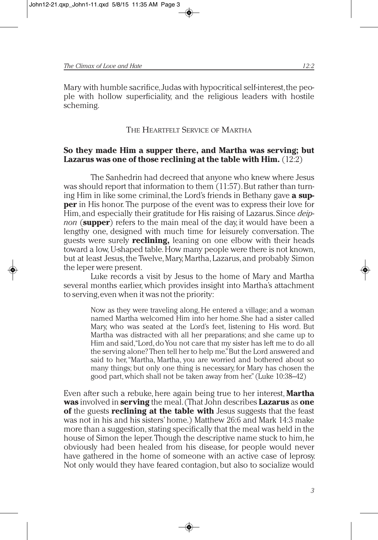Mary with humble sacrifice,Judas with hypocritical self-interest,the people with hollow superficiality, and the religious leaders with hostile scheming.

# THE HEARTFELT SERVICE OF MARTHA

# **So they made Him a supper there, and Martha was serving; but Lazarus was one of those reclining at the table with Him.** (12:2)

The Sanhedrin had decreed that anyone who knew where Jesus was should report that information to them  $(11:57)$ . But rather than turning Him in like some criminal, the Lord's friends in Bethany gave **a supper** in His honor. The purpose of the event was to express their love for Him,and especially their gratitude for His raising of Lazarus. Since *deipnon* (**supper**) refers to the main meal of the day, it would have been a lengthy one, designed with much time for leisurely conversation. The guests were surely **reclining,** leaning on one elbow with their heads toward a low, U-shaped table. How many people were there is not known, but at least Jesus, the Twelve, Mary, Martha, Lazarus, and probably Simon the leper were present.

Luke records a visit by Jesus to the home of Mary and Martha several months earlier, which provides insight into Martha's attachment to serving,even when it was not the priority:

> Now as they were traveling along, He entered a village; and a woman named Martha welcomed Him into her home. She had a sister called Mary, who was seated at the Lord's feet, listening to His word. But Martha was distracted with all her preparations; and she came up to Him and said,"Lord,doYou not care that my sister has left me to do all the serving alone? Then tell her to help me."But the Lord answered and said to her,"Martha, Martha, you are worried and bothered about so many things; but only one thing is necessary, for Mary has chosen the good part,which shall not be taken away from her." (Luke 10:38–42)

Even after such a rebuke, here again being true to her interest, **Martha was** involved in **serving** the meal.(That John describes **Lazarus** as **one of** the guests **reclining at the table with** Jesus suggests that the feast was not in his and his sisters' home.) Matthew 26:6 and Mark 14:3 make more than a suggestion, stating specifically that the meal was held in the house of Simon the leper. Though the descriptive name stuck to him, he obviously had been healed from his disease, for people would never have gathered in the home of someone with an active case of leprosy. Not only would they have feared contagion, but also to socialize would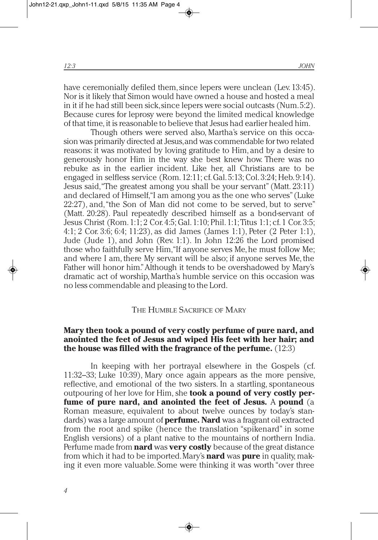have ceremonially defiled them, since lepers were unclean (Lev. 13:45). Nor is it likely that Simon would have owned a house and hosted a meal in it if he had still been sick,since lepers were social outcasts (Num.5:2). Because cures for leprosy were beyond the limited medical knowledge of that time, it is reasonable to believe that Jesus had earlier healed him.

Though others were served also, Martha's service on this occasion was primarily directed atJesus,and was commendable for two related reasons: it was motivated by loving gratitude to Him, and by a desire to generously honor Him in the way she best knew how. There was no rebuke as in the earlier incident. Like her, all Christians are to be engaged in selfless service (Rom. 12:11; cf.Gal. 5:13; Col. 3:24; Heb. 9:14). Jesus said,"The greatest among you shall be your servant" (Matt. 23:11) and declared of Himself,"I am among you as the one who serves"(Luke 22:27), and,"the Son of Man did not come to be served, but to serve" (Matt. 20:28). Paul repeatedly described himself as a bond-servant of Jesus Christ (Rom. 1:1; 2 Cor. 4:5;Gal. 1:10; Phil. 1:1;Titus 1:1; cf. 1 Cor. 3:5; 4:1; 2 Cor. 3:6; 6:4; 11:23), as did James (James 1:1), Peter (2 Peter 1:1), Jude (Jude 1), and John (Rev. 1:1). In John 12:26 the Lord promised those who faithfully serve Him, "If anyone serves Me, he must follow Me; and where I am, there My servant will be also; if anyone serves Me, the Father will honor him."Although it tends to be overshadowed by Mary's dramatic act of worship, Martha's humble service on this occasion was no less commendable and pleasing to the Lord.

# THE HUMBLE SACRIFICE OF MARY

# **Mary then took a pound of very costly perfume of pure nard, and anointed the feet of Jesus and wiped His feet with her hair; and the house was filled with the fragrance of the perfume.** (12:3)

In keeping with her portrayal elsewhere in the Gospels (cf. 11:32–33; Luke 10:39), Mary once again appears as the more pensive, reflective, and emotional of the two sisters. In a startling, spontaneous outpouring of her love for Him, she **took a pound of very costly perfume of pure nard, and anointed the feet of Jesus.** A **pound** (a Roman measure, equivalent to about twelve ounces by today's standards) was a large amount of **perfume. Nard** was a fragrant oil extracted from the root and spike (hence the translation "spikenard" in some English versions) of a plant native to the mountains of northern India. Perfume made from **nard** was **very costly** because of the great distance from which it had to be imported.Mary's **nard** was **pure** in quality, making it even more valuable. Some were thinking it was worth "over three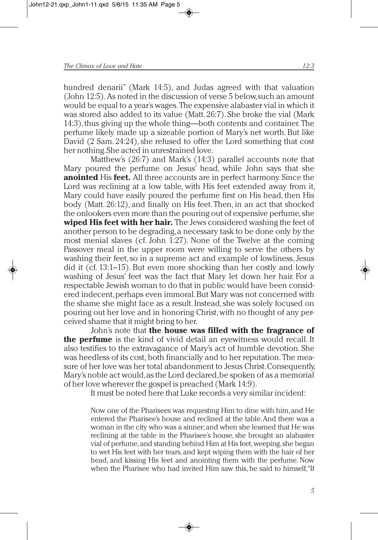hundred denarii" (Mark 14:5), and Judas agreed with that valuation (John 12:5).As noted in the discussion of verse 5 below,such an amount would be equal to a year's wages.The expensive alabaster vial in which it was stored also added to its value (Matt. 26:7). She broke the vial (Mark 14:3), thus giving up the whole thing—both contents and container. The perfume likely made up a sizeable portion of Mary's net worth.But like David (2 Sam. 24:24), she refused to offer the Lord something that cost her nothing.She acted in unrestrained love.

Matthew's (26:7) and Mark's (14:3) parallel accounts note that Mary poured the perfume on Jesus' head, while John says that she **anointed** His **feet.** All three accounts are in perfect harmony. Since the Lord was reclining at a low table, with His feet extended away from it, Mary could have easily poured the perfume first on His head, then His body (Matt. 26:12), and finally on His feet.Then, in an act that shocked the onlookers even more than the pouring out of expensive perfume, she **wiped His feet with her hair.** The Jews considered washing the feet of another person to be degrading,a necessary task to be done only by the most menial slaves (cf. John 1:27). None of the Twelve at the coming Passover meal in the upper room were willing to serve the others by washing their feet, so in a supreme act and example of lowliness, Jesus did it (cf. 13:1–15). But even more shocking than her costly and lowly washing of Jesus' feet was the fact that Mary let down her hair. For a respectable Jewish woman to do that in public would have been considered indecent,perhaps even immoral.But Mary was not concerned with the shame she might face as a result.Instead,she was solely focused on pouring out her love and in honoring Christ,with no thought of any perceived shame that it might bring to her.

John's note that **the house was filled with the fragrance of the perfume** is the kind of vivid detail an eyewitness would recall. It also testifies to the extravagance of Mary's act of humble devotion. She was heedless of its cost, both financially and to her reputation.The measure of her love was her total abandonment to Jesus Christ.Consequently, Mary's noble act would,as the Lord declared,be spoken of as a memorial of her love wherever the gospel is preached (Mark 14:9).

It must be noted here that Luke records a very similar incident:

Now one of the Pharisees was requesting Him to dine with him,and He entered the Pharisee's house and reclined at the table.And there was a woman in the city who was a sinner; and when she learned that He was reclining at the table in the Pharisee's house, she brought an alabaster vial of perfume, and standing behind Him at His feet,weeping,she began to wet His feet with her tears,and kept wiping them with the hair of her head, and kissing His feet and anointing them with the perfume. Now when the Pharisee who had invited Him saw this, he said to himself,"If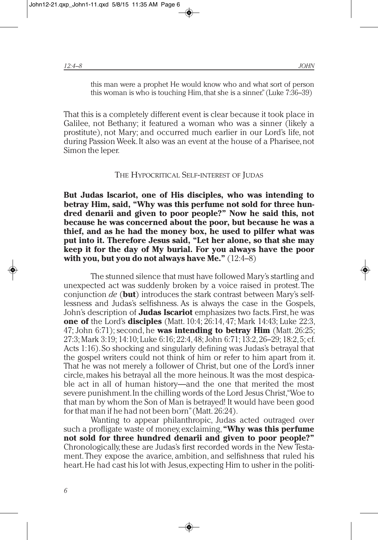this man were a prophet He would know who and what sort of person this woman is who is touching Him, that she is a sinner." (Luke 7:36–39)

That this is a completely different event is clear because it took place in Galilee, not Bethany; it featured a woman who was a sinner (likely a prostitute), not Mary; and occurred much earlier in our Lord's life, not during Passion Week.It also was an event at the house of a Pharisee,not Simon the leper.

#### THE HYPOCRITICAL SELF-INTEREST OF JUDAS

**But Judas Iscariot, one of His disciples, who was intending to betray Him, said, "Why was this perfume not sold for three hundred denarii and given to poor people?" Now he said this, not because he was concerned about the poor, but because he was a thief, and as he had the money box, he used to pilfer what was put into it. Therefore Jesus said, "Let her alone, so that she may keep it for the day of My burial. For you always have the poor with you, but you do not always have Me."** (12:4–8)

The stunned silence that must have followed Mary's startling and unexpected act was suddenly broken by a voice raised in protest. The conjunction *de* (**but**) introduces the stark contrast between Mary's selflessness and Judas's selfishness. As is always the case in the Gospels, John's description of **Judas Iscariot** emphasizes two facts.First,he was **one of** the Lord's **disciples** (Matt. 10:4; 26:14, 47; Mark 14:43; Luke 22:3, 47; John 6:71); second, he **was intending to betray Him** (Matt. 26:25; 27:3;Mark 3:19; 14:10; Luke 6:16; 22:4,48;John 6:71; 13:2,26–29; 18:2,5; cf. Acts 1:16).So shocking and singularly defining was Judas's betrayal that the gospel writers could not think of him or refer to him apart from it. That he was not merely a follower of Christ, but one of the Lord's inner circle, makes his betrayal all the more heinous. It was the most despicable act in all of human history—and the one that merited the most severe punishment.In the chilling words of the Lord Jesus Christ,"Woe to that man by whom the Son of Man is betrayed! It would have been good for that man if he had not been born"(Matt. 26:24).

Wanting to appear philanthropic, Judas acted outraged over such a profligate waste of money,exclaiming,**"Why was this perfume not sold for three hundred denarii and given to poor people?"** Chronologically, these are Judas's first recorded words in the New Testament.They expose the avarice, ambition, and selfishness that ruled his heart.He had cast his lot with Jesus,expecting Him to usher in the politi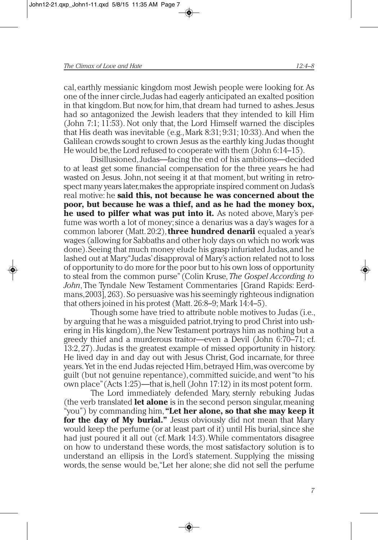cal,earthly messianic kingdom most Jewish people were looking for. As one of the inner circle,Judas had eagerly anticipated an exalted position in that kingdom.But now,for him,that dream had turned to ashes.Jesus had so antagonized the Jewish leaders that they intended to kill Him (John 7:1; 11:53). Not only that, the Lord Himself warned the disciples that His death was inevitable (e.g.,Mark 8:31; 9:31; 10:33).And when the Galilean crowds sought to crown Jesus as the earthly king Judas thought He would be,the Lord refused to cooperate with them (John 6:14–15).

Disillusioned,Judas—facing the end of his ambitions—decided to at least get some financial compensation for the three years he had wasted on Jesus. John, not seeing it at that moment, but writing in retrospect many years later, makes the appropriate inspired comment on Judas's real motive: he **said this, not because he was concerned about the poor, but because he was a thief, and as he had the money box, he used to pilfer what was put into it.** As noted above, Mary's perfume was worth a lot of money;since a denarius was a day's wages for a common laborer (Matt. 20:2),**three hundred denarii** equaled a year's wages (allowing for Sabbaths and other holy days on which no work was done).Seeing that much money elude his grasp infuriated Judas,and he lashed out at Mary."Judas'disapproval of Mary's action related not to loss of opportunity to do more for the poor but to his own loss of opportunity to steal from the common purse" (Colin Kruse,*The Gospel According to John*, The Tyndale New Testament Commentaries [Grand Rapids: Eerdmans,2003], 263). So persuasive was his seemingly righteous indignation that others joined in his protest (Matt. 26:8–9; Mark 14:4–5).

Though some have tried to attribute noble motives to Judas (i.e., by arguing that he was a misguided patriot,trying to prod Christ into ushering in His kingdom), the New Testament portrays him as nothing but a greedy thief and a murderous traitor—even a Devil (John 6:70–71; cf. 13:2, 27).Judas is the greatest example of missed opportunity in history. He lived day in and day out with Jesus Christ, God incarnate, for three years.Yet in the end Judas rejected Him,betrayed Him,was overcome by guilt (but not genuine repentance),committed suicide,and went"to his own place"(Acts 1:25)—that is,hell (John 17:12) in its most potent form.

The Lord immediately defended Mary, sternly rebuking Judas (the verb translated **let alone** is in the second person singular,meaning "you") by commanding him,**"Let her alone, so that she may keep it for the day of My burial."** Jesus obviously did not mean that Mary would keep the perfume (or at least part of it) until His burial,since she had just poured it all out (cf. Mark 14:3).While commentators disagree on how to understand these words, the most satisfactory solution is to understand an ellipsis in the Lord's statement. Supplying the missing words, the sense would be,"Let her alone; she did not sell the perfume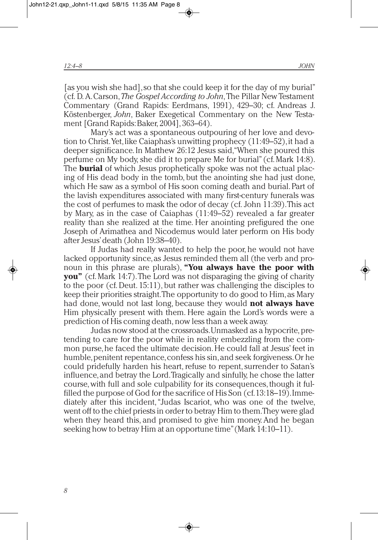[as you wish she had], so that she could keep it for the day of my burial" (cf. D.A.Carson,*The Gospel According to John*,The Pillar New Testament Commentary (Grand Rapids: Eerdmans, 1991), 429–30; cf. Andreas J. Köstenberger, *John*, Baker Exegetical Commentary on the New Testament [Grand Rapids:Baker, 2004], 363–64).

Mary's act was a spontaneous outpouring of her love and devotion to Christ.Yet,like Caiaphas's unwitting prophecy (11:49–52),it had a deeper significance.In Matthew 26:12 Jesus said,"When she poured this perfume on My body, she did it to prepare Me for burial" (cf.Mark 14:8). The **burial** of which Jesus prophetically spoke was not the actual placing of His dead body in the tomb, but the anointing she had just done, which He saw as a symbol of His soon coming death and burial. Part of the lavish expenditures associated with many first-century funerals was the cost of perfumes to mask the odor of decay (cf. John 11:39).This act by Mary, as in the case of Caiaphas (11:49–52) revealed a far greater reality than she realized at the time. Her anointing prefigured the one Joseph of Arimathea and Nicodemus would later perform on His body after Jesus'death (John 19:38–40).

If Judas had really wanted to help the poor, he would not have lacked opportunity since, as Jesus reminded them all (the verb and pronoun in this phrase are plurals), **"You always have the poor with you"** (cf.Mark 14:7).The Lord was not disparaging the giving of charity to the poor (cf.Deut. 15:11), but rather was challenging the disciples to keep their priorities straight.The opportunity to do good to Him,as Mary had done, would not last long, because they would **not always have** Him physically present with them. Here again the Lord's words were a prediction of His coming death, now less than a week away.

Judas now stood at the crossroads.Unmasked as a hypocrite, pretending to care for the poor while in reality embezzling from the common purse,he faced the ultimate decision.He could fall at Jesus'feet in humble, penitent repentance, confess his sin, and seek forgiveness. Or he could pridefully harden his heart, refuse to repent, surrender to Satan's influence,and betray the Lord.Tragically and sinfully, he chose the latter course, with full and sole culpability for its consequences, though it fulfilled the purpose of God for the sacrifice of His Son (cf.13:18–19).Immediately after this incident,"Judas Iscariot, who was one of the twelve, went off to the chief priestsin order to betray Him to them.They were glad when they heard this, and promised to give him money.And he began seeking how to betray Him at an opportune time"(Mark 14:10–11).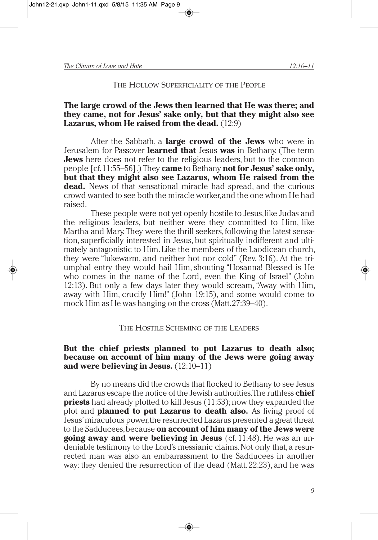#### THE HOLLOW SUPERFICIALITY OF THE PEOPLE

# **The large crowd of the Jews then learned that He was there; and they came, not for Jesus' sake only, but that they might also see Lazarus, whom He raised from the dead.** (12:9)

After the Sabbath, a **large crowd of the Jews** who were in Jerusalem for Passover **learned that** Jesus **was** in Bethany. (The term **Jews** here does not refer to the religious leaders, but to the common people [cf.11:55–56].) They **came** to Bethany **not for Jesus' sake only, but that they might also see Lazarus, whom He raised from the dead.** News of that sensational miracle had spread, and the curious crowd wanted to see both the miracle worker,and the one whom He had raised.

These people were not yet openly hostile to Jesus,like Judas and the religious leaders, but neither were they committed to Him, like Martha and Mary. They were the thrill seekers, following the latest sensation,superficially interested in Jesus, but spiritually indifferent and ultimately antagonistic to Him.Like the members of the Laodicean church, they were "lukewarm, and neither hot nor cold" (Rev. 3:16). At the triumphal entry they would hail Him, shouting "Hosanna! Blessed is He who comes in the name of the Lord, even the King of Israel" (John 12:13). But only a few days later they would scream,"Away with Him, away with Him, crucify Him!" (John 19:15), and some would come to mock Him as He was hanging on the cross (Matt.27:39–40).

# THE HOSTILE SCHEMING OF THE LEADERS

# **But the chief priests planned to put Lazarus to death also; because on account of him many of the Jews were going away and were believing in Jesus.** (12:10–11)

By no means did the crowds that flocked to Bethany to see Jesus and Lazarus escape the notice of the Jewish authorities.The ruthless **chief priests** had already plotted to kill Jesus (11:53); now they expanded the plot and **planned to put Lazarus to death also.** As living proof of Jesus'miraculous power,the resurrected Lazarus presented a great threat to the Sadducees,because **on account of him many of the Jews were going away and were believing in Jesus** (cf. 11:48). He was an undeniable testimony to the Lord's messianic claims.Not only that,a resurrected man was also an embarrassment to the Sadducees in another way: they denied the resurrection of the dead (Matt. 22:23), and he was